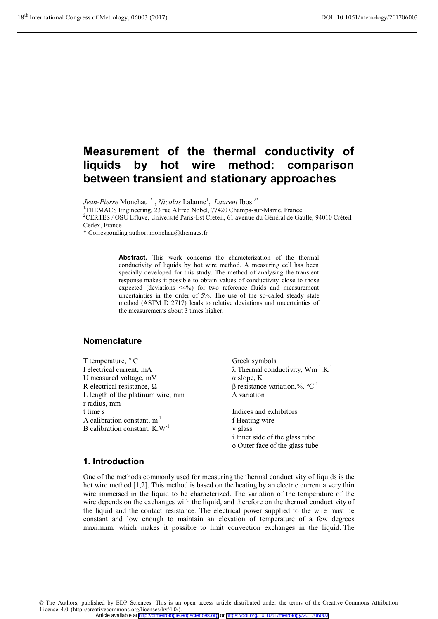# **Measurement of the thermal conductivity of liquids by hot wire method: comparison between transient and stationary approaches**

*Jean-Pierre* Monchau<sup>1\*</sup>, *Nicolas* Lalanne<sup>1</sup>, *Laurent* Ibos<sup>2\*</sup><br><sup>1</sup>THEMACS Engineering, 23 rue Alfred Nobel, 77420 Champs-sur-Marne, France

2 CERTES / OSU Efluve, Université Paris-Est Creteil, 61 avenue du Général de Gaulle, 94010 Créteil Cedex, France

\* Corresponding author: monchau@themacs.fr

**Abstract.** This work concerns the characterization of the thermal conductivity of liquids by hot wire method. A measuring cell has been specially developed for this study. The method of analysing the transient response makes it possible to obtain values of conductivity close to those expected (deviations <4%) for two reference fluids and measurement uncertainties in the order of 5%. The use of the so-called steady state method (ASTM D 2717) leads to relative deviations and uncertainties of the measurements about 3 times higher.

## **Nomenclature**

T temperature, ° C I electrical current, mA U measured voltage, mV R electrical resistance,  $\Omega$ L length of the platinum wire, mm r radius, mm t time s A calibration constant,  $m^{-1}$ B calibration constant, K.W-1

Greek symbols  $\lambda$  Thermal conductivity,  $Wm^{-1}.K^{-1}$ α slope, K β resistance variation,%.  $°C^{-1}$ Δ variation

Indices and exhibitors f Heating wire v glass i Inner side of the glass tube o Outer face of the glass tube

## **1. Introduction**

One of the methods commonly used for measuring the thermal conductivity of liquids is the hot wire method [1,2]. This method is based on the heating by an electric current a very thin wire immersed in the liquid to be characterized. The variation of the temperature of the wire depends on the exchanges with the liquid, and therefore on the thermal conductivity of the liquid and the contact resistance. The electrical power supplied to the wire must be constant and low enough to maintain an elevation of temperature of a few degrees maximum, which makes it possible to limit convection exchanges in the liquid. The

© The Authors, published by EDP Sciences. This is an open access article distributed under the terms of the Creative Commons Attribution License 4.0 (http://creativecommons.org/licenses/by/4.0/). Article available at <http://cfmetrologie.edpsciences.org> or <https://doi.org/10.1051/metrology/201706003>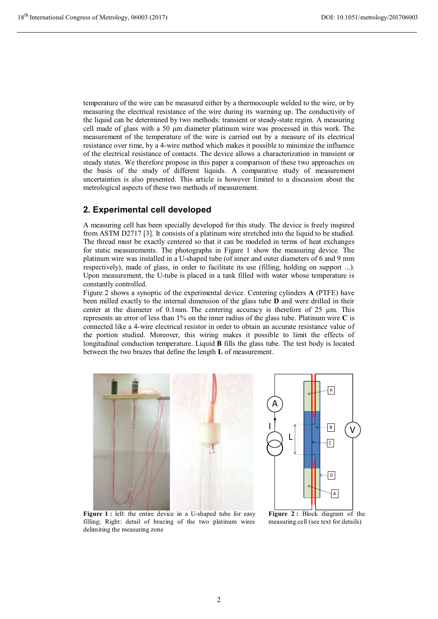temperature of the wire can be measured either by a thermocouple welded to the wire, or by measuring the electrical resistance of the wire during its warming up. The conductivity of the liquid can be determined by two methods: transient or steady-state regim. A measuring cell made of glass with a 50 μm diameter platinum wire was processed in this work. The measurement of the temperature of the wire is carried out by a measure of its electrical resistance over time, by a 4-wire method which makes it possible to minimize the influence of the electrical resistance of contacts. The device allows a characterization in transient or steady states. We therefore propose in this paper a comparison of these two approaches on the basis of the study of different liquids. A comparative study of measurement uncertainties is also presented. This article is however limited to a discussion about the metrological aspects of these two methods of measurement.

## **2. Experimental cell developed**

A measuring cell has been specially developed for this study. The device is freely inspired from ASTM D2717 [3]. It consists of a platinum wire stretched into the liquid to be studied. The thread must be exactly centered so that it can be modeled in terms of heat exchanges for static measurements. The photographs in Figure 1 show the measuring device. The platinum wire was installed in a U-shaped tube (of inner and outer diameters of 6 and 9 mm respectively), made of glass, in order to facilitate its use (filling, holding on support ...). Upon measurement, the U-tube is placed in a tank filled with water whose temperature is constantly controlled.

Figure 2 shows a synoptic of the experimental device. Centering cylinders **A** (PTFE) have been milled exactly to the internal dimension of the glass tube **D** and were drilled in their center at the diameter of 0.1mm. The centering accuracy is therefore of 25 μm. This represents an error of less than 1% on the inner radius of the glass tube. Platinum wire **C** is connected like a 4-wire electrical resistor in order to obtain an accurate resistance value of the portion studied. Moreover, this wiring makes it possible to limit the effects of longitudinal conduction temperature. Liquid **B** fills the glass tube. The test body is located between the two brazes that define the length **L** of measurement.



Figure 1 : left: the entire device in a U-shaped tube for easy filling; Right: detail of brazing of the two platinum wires delimiting the measuring zone

**Figure 2 :** Block diagram of the measuring cell (see text for details)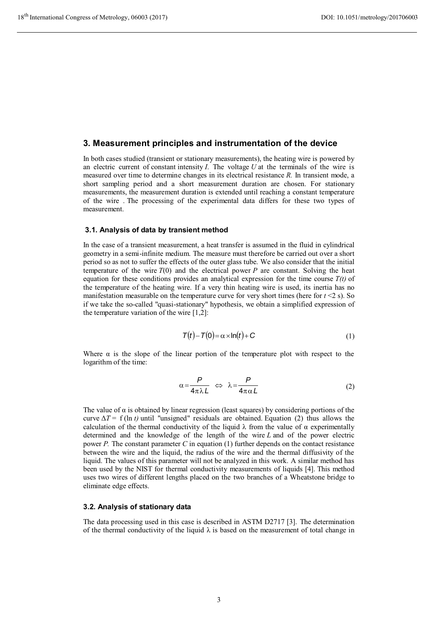## **3. Measurement principles and instrumentation of the device**

In both cases studied (transient or stationary measurements), the heating wire is powered by an electric current of constant intensity  $I$ . The voltage  $U$  at the terminals of the wire is measured over time to determine changes in its electrical resistance *R.* In transient mode, a short sampling period and a short measurement duration are chosen. For stationary measurements, the measurement duration is extended until reaching a constant temperature of the wire . The processing of the experimental data differs for these two types of measurement.

## **3.1. Analysis of data by transient method**

In the case of a transient measurement, a heat transfer is assumed in the fluid in cylindrical geometry in a semi-infinite medium. The measure must therefore be carried out over a short period so as not to suffer the effects of the outer glass tube. We also consider that the initial temperature of the wire  $T(0)$  and the electrical power *P* are constant. Solving the heat equation for these conditions provides an analytical expression for the time course *T(t)* of the temperature of the heating wire. If a very thin heating wire is used, its inertia has no manifestation measurable on the temperature curve for very short times (here for  $t < 2$  s). So if we take the so-called "quasi-stationary" hypothesis, we obtain a simplified expression of the temperature variation of the wire [1,2]:

$$
\mathcal{T}(t) - \mathcal{T}(0) = \alpha \times \ln(t) + C \tag{1}
$$

Where  $\alpha$  is the slope of the linear portion of the temperature plot with respect to the logarithm of the time:

$$
\alpha = \frac{P}{4\pi\lambda L} \iff \lambda = \frac{P}{4\pi\alpha L} \tag{2}
$$

The value of  $\alpha$  is obtained by linear regression (least squares) by considering portions of the curve  $\Delta T = f(\ln t)$  until "unsigned" residuals are obtained. Equation (2) thus allows the calculation of the thermal conductivity of the liquid  $\lambda$  from the value of  $\alpha$  experimentally determined and the knowledge of the length of the wire *L* and of the power electric power *P.* The constant parameter *C* in equation (1) further depends on the contact resistance between the wire and the liquid, the radius of the wire and the thermal diffusivity of the liquid. The values of this parameter will not be analyzed in this work. A similar method has been used by the NIST for thermal conductivity measurements of liquids [4]. This method uses two wires of different lengths placed on the two branches of a Wheatstone bridge to eliminate edge effects.

### **3.2. Analysis of stationary data**

The data processing used in this case is described in ASTM D2717 [3]. The determination of the thermal conductivity of the liquid  $\lambda$  is based on the measurement of total change in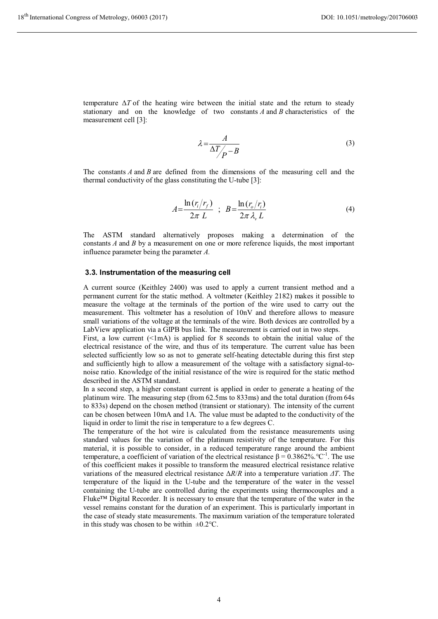temperature Δ*T* of the heating wire between the initial state and the return to steady stationary and on the knowledge of two constants *A* and *B* characteristics of the measurement cell [3]:

$$
\lambda = \frac{A}{\Delta T / \rho - B} \tag{3}
$$

The constants *A* and *B* are defined from the dimensions of the measuring cell and the thermal conductivity of the glass constituting the U-tube [3]:

$$
A = \frac{\ln(r_i/r_f)}{2\pi L} \quad ; \quad B = \frac{\ln(r_o/r_i)}{2\pi \lambda_v L} \tag{4}
$$

The ASTM standard alternatively proposes making a determination of the constants *A* and *B* by a measurement on one or more reference liquids, the most important influence parameter being the parameter *A.* 

### **3.3. Instrumentation of the measuring cell**

A current source (Keithley 2400) was used to apply a current transient method and a permanent current for the static method. A voltmeter (Keithley 2182) makes it possible to measure the voltage at the terminals of the portion of the wire used to carry out the measurement. This voltmeter has a resolution of 10nV and therefore allows to measure small variations of the voltage at the terminals of the wire. Both devices are controlled by a LabView application via a GIPB bus link. The measurement is carried out in two steps.

First, a low current (<1mA) is applied for 8 seconds to obtain the initial value of the electrical resistance of the wire, and thus of its temperature. The current value has been selected sufficiently low so as not to generate self-heating detectable during this first step and sufficiently high to allow a measurement of the voltage with a satisfactory signal-tonoise ratio. Knowledge of the initial resistance of the wire is required for the static method described in the ASTM standard.

In a second step, a higher constant current is applied in order to generate a heating of the platinum wire. The measuring step (from 62.5ms to 833ms) and the total duration (from 64s to 833s) depend on the chosen method (transient or stationary). The intensity of the current can be chosen between 10mA and 1A. The value must be adapted to the conductivity of the liquid in order to limit the rise in temperature to a few degrees C.

The temperature of the hot wire is calculated from the resistance measurements using standard values for the variation of the platinum resistivity of the temperature. For this material, it is possible to consider, in a reduced temperature range around the ambient temperature, a coefficient of variation of the electrical resistance  $β = 0.3862\%$ . °C<sup>-1</sup>. The use of this coefficient makes it possible to transform the measured electrical resistance relative variations of the measured electrical resistance Δ*R*/*R* into a temperature variation *ΔT*. The temperature of the liquid in the U-tube and the temperature of the water in the vessel containing the U-tube are controlled during the experiments using thermocouples and a Fluke™ Digital Recorder. It is necessary to ensure that the temperature of the water in the vessel remains constant for the duration of an experiment. This is particularly important in the case of steady state measurements. The maximum variation of the temperature tolerated in this study was chosen to be within  $\pm 0.2$ °C.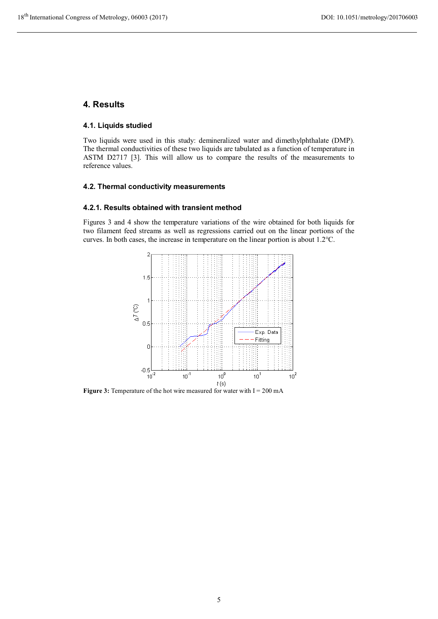## **4. Results**

## **4.1. Liquids studied**

Two liquids were used in this study: demineralized water and dimethylphthalate (DMP). The thermal conductivities of these two liquids are tabulated as a function of temperature in ASTM D2717 [3]. This will allow us to compare the results of the measurements to reference values.

## **4.2. Thermal conductivity measurements**

## **4.2.1. Results obtained with transient method**

Figures 3 and 4 show the temperature variations of the wire obtained for both liquids for two filament feed streams as well as regressions carried out on the linear portions of the curves. In both cases, the increase in temperature on the linear portion is about 1.2°C.



**Figure 3:** Temperature of the hot wire measured for water with  $I = 200$  mA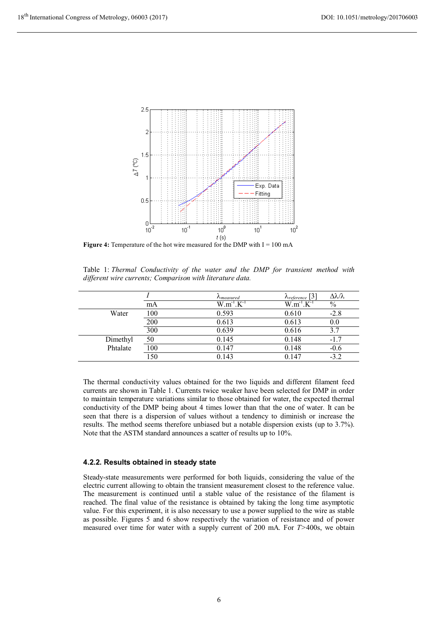

**Figure 4:** Temperature of the hot wire measured for the DMP with I = 100 mA

|  | Table 1: Thermal Conductivity of the water and the DMP for transient method with |  |  |  |  |  |
|--|----------------------------------------------------------------------------------|--|--|--|--|--|
|  | different wire currents; Comparison with literature data.                        |  |  |  |  |  |

|          |     | $\Lambda$ <sub>measured</sub> | $\Lambda_{reference}$ [3] | $\Delta \lambda / \lambda$ |
|----------|-----|-------------------------------|---------------------------|----------------------------|
|          | mA  | $W.m^{-1}.K^{-1}$             | $W.m^{-1}.K^{-1}$         | $\%$                       |
| Water    | 100 | 0.593                         | 0.610                     | $-2.8$                     |
|          | 200 | 0.613                         | 0.613                     | 0.0                        |
|          | 300 | 0.639                         | 0.616                     | 3.7                        |
| Dimethyl | 50  | 0.145                         | 0.148                     | $-1.7$                     |
| Phtalate | 100 | 0.147                         | 0.148                     | $-0.6$                     |
|          | 150 | 0.143                         | 0.147                     | $-3.2$                     |

The thermal conductivity values obtained for the two liquids and different filament feed currents are shown in Table 1. Currents twice weaker have been selected for DMP in order to maintain temperature variations similar to those obtained for water, the expected thermal conductivity of the DMP being about 4 times lower than that the one of water. It can be seen that there is a dispersion of values without a tendency to diminish or increase the results. The method seems therefore unbiased but a notable dispersion exists (up to 3.7%). Note that the ASTM standard announces a scatter of results up to 10%.

## **4.2.2. Results obtained in steady state**

Steady-state measurements were performed for both liquids, considering the value of the electric current allowing to obtain the transient measurement closest to the reference value. The measurement is continued until a stable value of the resistance of the filament is reached. The final value of the resistance is obtained by taking the long time asymptotic value. For this experiment, it is also necessary to use a power supplied to the wire as stable as possible. Figures 5 and 6 show respectively the variation of resistance and of power measured over time for water with a supply current of 200 mA. For *T>*400s, we obtain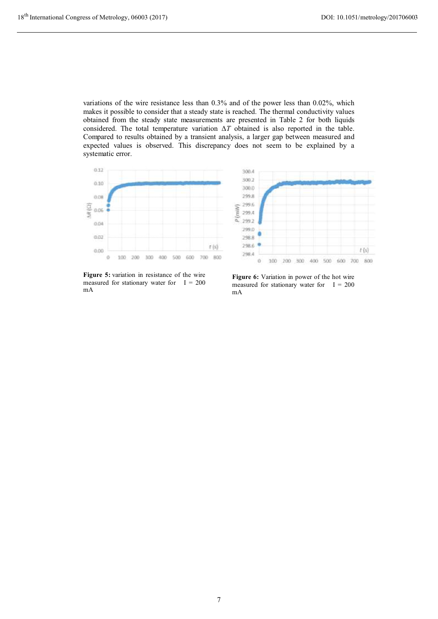variations of the wire resistance less than 0.3% and of the power less than 0.02%, which makes it possible to consider that a steady state is reached. The thermal conductivity values obtained from the steady state measurements are presented in Table 2 for both liquids considered. The total temperature variation Δ*T* obtained is also reported in the table. Compared to results obtained by a transient analysis, a larger gap between measured and expected values is observed. This discrepancy does not seem to be explained by a systematic error.



**Figure 5:** variation in resistance of the wire measured for stationary water for  $I = 200$ mA

**Figure 6:** Variation in power of the hot wire measured for stationary water for  $I = 200$ mA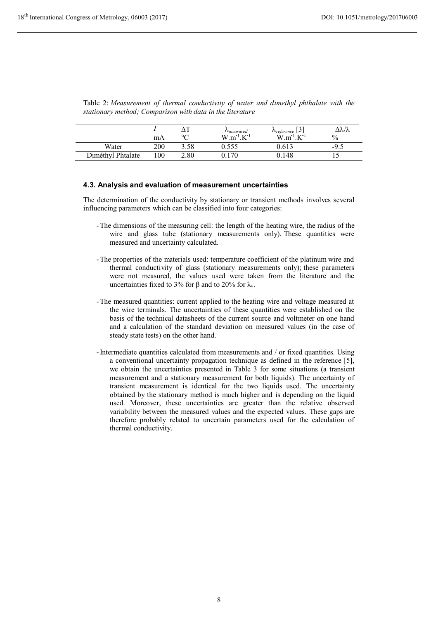|       |     | $\mathbf{r}$ | $v_{measured}$                    | $r_{reference}$<br>ັ                                     | ユハハ           |
|-------|-----|--------------|-----------------------------------|----------------------------------------------------------|---------------|
|       | mA  | $\sim$       | W<br><b>TT-</b><br>m.,<br>$\cdot$ | W<br>$T$ $T$ =<br>$\cdot$ m $\overline{ }$<br>$\cdot$ IX | $\frac{0}{0}$ |
| Water | 200 | 3.58         | u. <i>jjj</i>                     | U.O<br>ີ -                                               | -9.5          |

Diméthyl Phtalate 100 2.80 0.170 0.148 15

Table 2: *Measurement of thermal conductivity of water and dimethyl phthalate with the stationary method; Comparison with data in the literature* 

## **4.3. Analysis and evaluation of measurement uncertainties**

The determination of the conductivity by stationary or transient methods involves several influencing parameters which can be classified into four categories:

- -The dimensions of the measuring cell: the length of the heating wire, the radius of the wire and glass tube (stationary measurements only). These quantities were measured and uncertainty calculated.
- -The properties of the materials used: temperature coefficient of the platinum wire and thermal conductivity of glass (stationary measurements only); these parameters were not measured, the values used were taken from the literature and the uncertainties fixed to 3% for β and to 20% for  $λ<sub>v</sub>$ .
- -The measured quantities: current applied to the heating wire and voltage measured at the wire terminals. The uncertainties of these quantities were established on the basis of the technical datasheets of the current source and voltmeter on one hand and a calculation of the standard deviation on measured values (in the case of steady state tests) on the other hand.
- -Intermediate quantities calculated from measurements and / or fixed quantities. Using a conventional uncertainty propagation technique as defined in the reference [5], we obtain the uncertainties presented in Table 3 for some situations (a transient measurement and a stationary measurement for both liquids). The uncertainty of transient measurement is identical for the two liquids used. The uncertainty obtained by the stationary method is much higher and is depending on the liquid used. Moreover, these uncertainties are greater than the relative observed variability between the measured values and the expected values. These gaps are therefore probably related to uncertain parameters used for the calculation of thermal conductivity.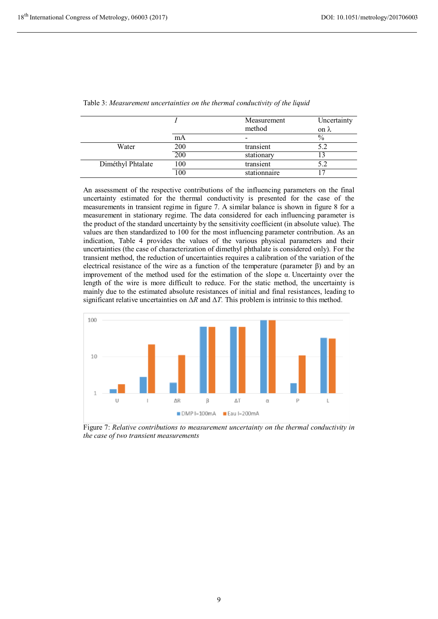|                   |     | Measurement  | Uncertainty          |
|-------------------|-----|--------------|----------------------|
|                   | mA  | method       | on $\lambda$<br>$\%$ |
| Water             | 200 | transient    | 5.2                  |
|                   | 200 | stationary   |                      |
| Diméthyl Phtalate | 100 | transient    |                      |
|                   | 100 | stationnaire |                      |

Table 3: *Measurement uncertainties on the thermal conductivity of the liquid* 

An assessment of the respective contributions of the influencing parameters on the final uncertainty estimated for the thermal conductivity is presented for the case of the measurements in transient regime in figure 7. A similar balance is shown in figure 8 for a measurement in stationary regime. The data considered for each influencing parameter is the product of the standard uncertainty by the sensitivity coefficient (in absolute value). The values are then standardized to 100 for the most influencing parameter contribution. As an indication, Table 4 provides the values of the various physical parameters and their uncertainties (the case of characterization of dimethyl phthalate is considered only). For the transient method, the reduction of uncertainties requires a calibration of the variation of the electrical resistance of the wire as a function of the temperature (parameter β) and by an improvement of the method used for the estimation of the slope α. Uncertainty over the length of the wire is more difficult to reduce. For the static method, the uncertainty is mainly due to the estimated absolute resistances of initial and final resistances, leading to significant relative uncertainties on Δ*R* and Δ*T.* This problem is intrinsic to this method.



Figure 7: *Relative contributions to measurement uncertainty on the thermal conductivity in the case of two transient measurements*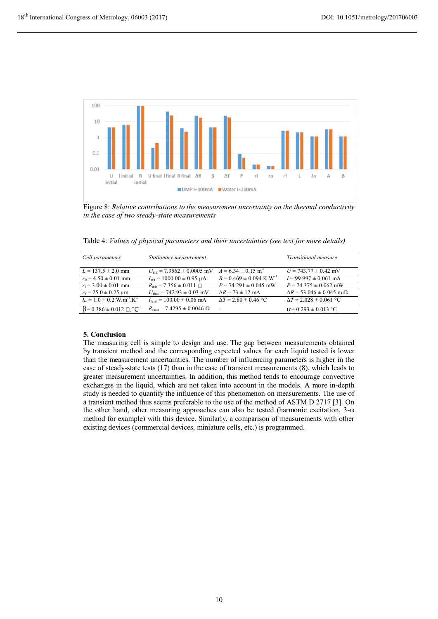

Figure 8: *Relative contributions to the measurement uncertainty on the thermal conductivity in the case of two steady-state measurements* 

Table 4: *Values of physical parameters and their uncertainties (see text for more details)* 

| Cell parameters                                              | Stationary measurement                                   |                                         | Transitional measure                     |
|--------------------------------------------------------------|----------------------------------------------------------|-----------------------------------------|------------------------------------------|
| $L = 137.5 \pm 2.0$ mm                                       | $U_{\text{init}}$ = 7.3562 $\pm$ 0.0005 mV               | $A = 6.34 \pm 0.15$ m <sup>-1</sup>     | $U = 743.77 \pm 0.42$ mV                 |
| $r_0 = 4.50 \pm 0.01$ mm                                     | $I_{\text{init}} = 1000.00 \pm 0.95 \text{ }\mu\text{A}$ | $B = 0.469 \pm 0.094$ K.W <sup>-1</sup> | $I = 99.997 \pm 0.061$ mA                |
| $r_i = 3.00 \pm 0.01$ mm                                     | $R_{\text{int}} = 7.356 \pm 0.011 \ \Box$                | $P = 74.291 \pm 0.045$ mW               | $P = 74.375 \pm 0.062$ mW                |
| $r_f = 25.0 \pm 0.25 \text{ }\mu\text{m}$                    | $U_{\text{final}} = 742.93 \pm 0.03$ mV                  | $\Delta R = 73 \pm 12$ m $\Delta$       | $\Delta R = 53.046 \pm 0.045$ m $\Omega$ |
| $\lambda_v = 1.0 \pm 0.2$ W.m <sup>-1</sup> .K <sup>-1</sup> | $I_{final} = 100.00 \pm 0.06$ mA                         | $\Delta T = 2.80 \pm 0.46$ °C           | $\Delta T = 2.028 \pm 0.061$ °C          |
| $\beta$ = 0.386 ± 0.012 $\Box$ . °C <sup>1</sup>             | $R_{\text{final}} = 7.4295 \pm 0.0046 \ \Omega$          | $\overline{\phantom{a}}$                | $\alpha$ = 0.293 $\pm$ 0.013 °C          |

The measuring cell is simple to design and use. The gap between measurements obtained by transient method and the corresponding expected values for each liquid tested is lower than the measurement uncertainties. The number of influencing parameters is higher in the case of steady-state tests (17) than in the case of transient measurements (8), which leads to greater measurement uncertainties. In addition, this method tends to encourage convective exchanges in the liquid, which are not taken into account in the models. A more in-depth study is needed to quantify the influence of this phenomenon on measurements. The use of a transient method thus seems preferable to the use of the method of ASTM D 2717 [3]. On the other hand, other measuring approaches can also be tested (harmonic excitation, 3-ω method for example) with this device. Similarly, a comparison of measurements with other existing devices (commercial devices, miniature cells, etc.) is programmed.